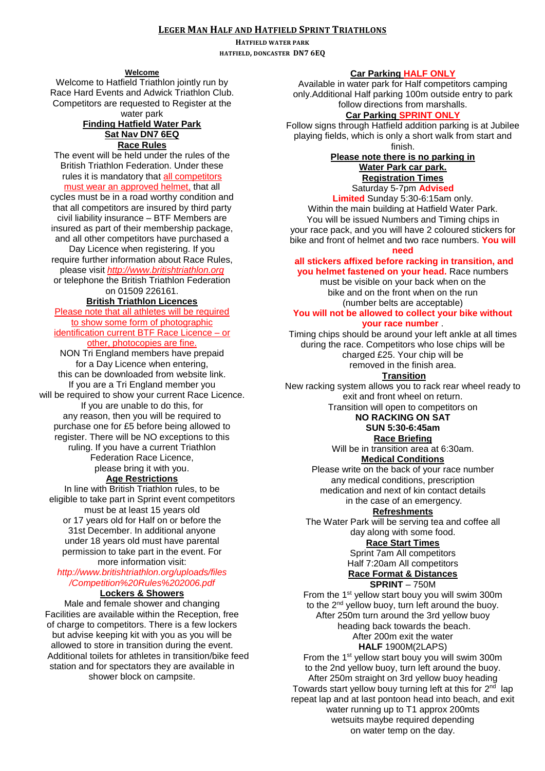## **LEGER MAN HALF AND HATFIELD SPRINT TRIATHLONS**

**HATFIELD WATER PARK HATFIELD, DONCASTER DN7 6EQ**

### **Welcome**

Welcome to Hatfield Triathlon jointly run by Race Hard Events and Adwick Triathlon Club. Competitors are requested to Register at the water park

## **Finding Hatfield Water Park Sat Nav DN7 6EQ Race Rules**

The event will be held under the rules of the British Triathlon Federation. Under these rules it is mandatory that all competitors must wear an approved helmet, that all

cycles must be in a road worthy condition and that all competitors are insured by third party civil liability insurance – BTF Members are insured as part of their membership package,

and all other competitors have purchased a Day Licence when registering. If you require further information about Race Rules,

please visit *http://www.britishtriathlon.org*

or telephone the British Triathlon Federation on 01509 226161.

### **British Triathlon Licences**

Please note that all athletes will be required to show some form of photographic identification current BTF Race Licence – or other, photocopies are fine.

NON Tri England members have prepaid for a Day Licence when entering, this can be downloaded from website link. If you are a Tri England member you will be required to show your current Race Licence. If you are unable to do this, for any reason, then you will be required to purchase one for £5 before being allowed to register. There will be NO exceptions to this ruling. If you have a current Triathlon Federation Race Licence, please bring it with you.

### **Age Restrictions**

In line with British Triathlon rules, to be eligible to take part in Sprint event competitors must be at least 15 years old or 17 years old for Half on or before the 31st December. In additional anyone under 18 years old must have parental permission to take part in the event. For more information visit:

*http://www.britishtriathlon.org/uploads/files*

*/Competition%20Rules%202006.pdf*

### **Lockers & Showers**

Male and female shower and changing Facilities are available within the Reception, free of charge to competitors. There is a few lockers but advise keeping kit with you as you will be allowed to store in transition during the event. Additional toilets for athletes in transition/bike feed station and for spectators they are available in shower block on campsite.

From the 1<sup>st</sup> yellow start bouy you will swim 300m to the 2<sup>nd</sup> vellow buoy, turn left around the buoy. After 250m turn around the 3rd yellow buoy heading back towards the beach. After 200m exit the water **HALF** 1900M(2LAPS) From the 1<sup>st</sup> yellow start bouy you will swim 300m to the 2nd yellow buoy, turn left around the buoy. After 250m straight on 3rd yellow buoy heading Towards start yellow bouy turning left at this for 2<sup>nd</sup> lap repeat lap and at last pontoon head into beach, and exit water running up to T1 approx 200mts wetsuits maybe required depending on water temp on the day.

# **Car Parking HALF ONLY**

Available in water park for Half competitors camping only.Additional Half parking 100m outside entry to park follow directions from marshalls.

### **Car Parking SPRINT ONLY**

Follow signs through Hatfield addition parking is at Jubilee playing fields, which is only a short walk from start and finish.

# **Please note there is no parking in Water Park car park. Registration Times**

Saturday 5-7pm **Advised** 

### **Limited** Sunday 5:30-6:15am only. Within the main building at Hatfield Water Park. You will be issued Numbers and Timing chips in your race pack, and you will have 2 coloured stickers for

bike and front of helmet and two race numbers. **You will** 

### **need**

### **all stickers affixed before racking in transition, and you helmet fastened on your head.** Race numbers

must be visible on your back when on the bike and on the front when on the run (number belts are acceptable)

## **You will not be allowed to collect your bike without your race number** .

Timing chips should be around your left ankle at all times during the race. Competitors who lose chips will be charged £25. Your chip will be removed in the finish area.

### **Transition**

New racking system allows you to rack rear wheel ready to exit and front wheel on return. Transition will open to competitors on

## **NO RACKING ON SAT SUN 5:30-6:45am**

### **Race Briefing**

Will be in transition area at 6:30am. **Medical Conditions**

Please write on the back of your race number any medical conditions, prescription medication and next of kin contact details in the case of an emergency.

### **Refreshments**

The Water Park will be serving tea and coffee all day along with some food. **Race Start Times**

Sprint 7am All competitors Half 7:20am All competitors

### **Race Format & Distances**

#### **SPRINT** – 750M